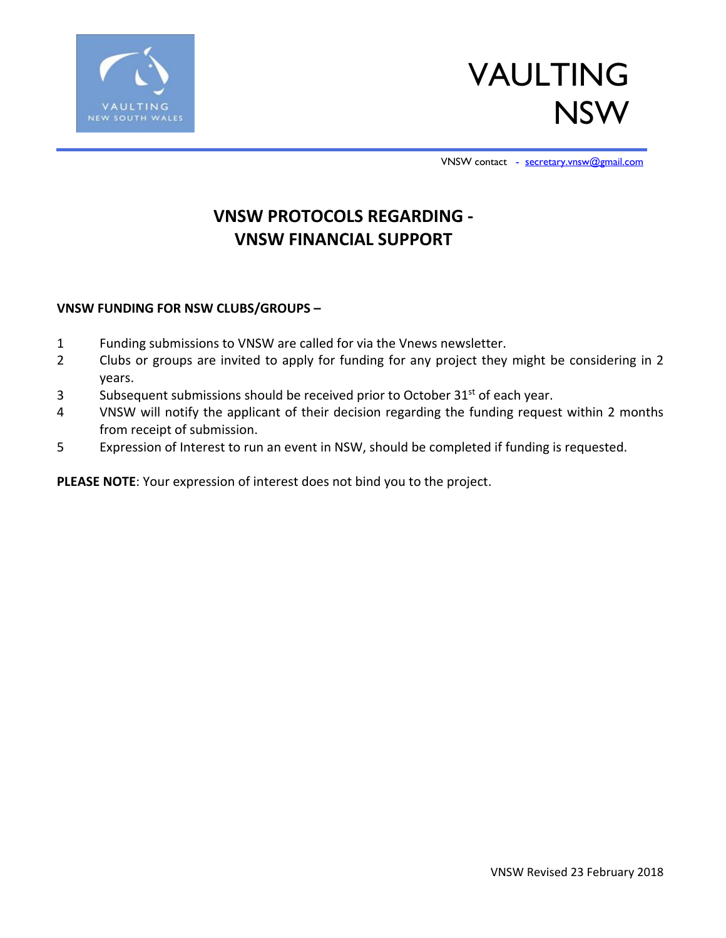



VNSW contact [- secretary.vnsw@gmail.com](mailto:%E2%80%93secretary.vnsw@gmail.com)

### **VNSW PROTOCOLS REGARDING - VNSW FINANCIAL SUPPORT**

### **VNSW FUNDING FOR NSW CLUBS/GROUPS –**

- 1 Funding submissions to VNSW are called for via the Vnews newsletter.
- 2 Clubs or groups are invited to apply for funding for any project they might be considering in 2 years.
- 3 Subsequent submissions should be received prior to October 31<sup>st</sup> of each year.
- 4 VNSW will notify the applicant of their decision regarding the funding request within 2 months from receipt of submission.
- 5 Expression of Interest to run an event in NSW, should be completed if funding is requested.

**PLEASE NOTE**: Your expression of interest does not bind you to the project.